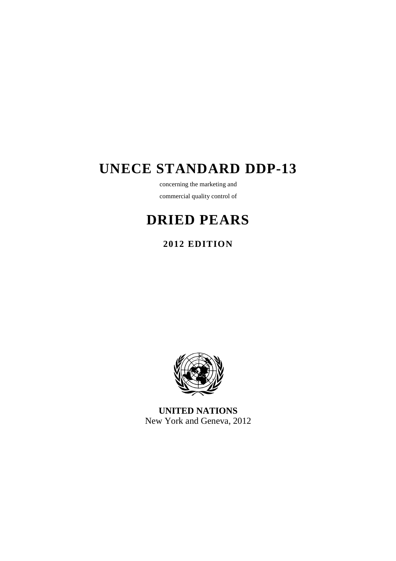# **UNECE STANDARD DDP-13**

concerning the marketing and commercial quality control of

# **DRIED PEARS**

# **2012 EDITION**



**UNITED NATIONS**  New York and Geneva, 2012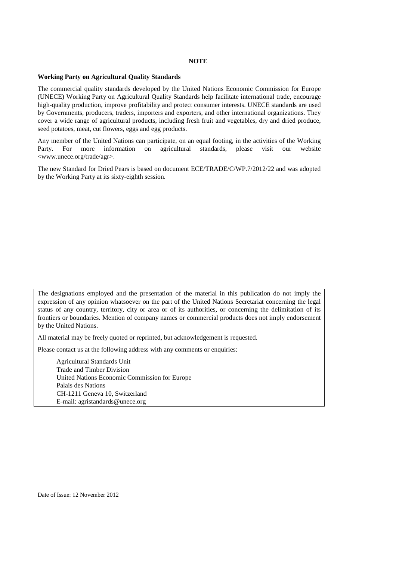#### **NOTE**

## **Working Party on Agricultural Quality Standards**

The commercial quality standards developed by the United Nations Economic Commission for Europe (UNECE) Working Party on Agricultural Quality Standards help facilitate international trade, encourage high-quality production, improve profitability and protect consumer interests. UNECE standards are used by Governments, producers, traders, importers and exporters, and other international organizations. They cover a wide range of agricultural products, including fresh fruit and vegetables, dry and dried produce, seed potatoes, meat, cut flowers, eggs and egg products.

Any member of the United Nations can participate, on an equal footing, in the activities of the Working Party. For more information on agricultural standards, please visit our website <www.unece.org/trade/agr>.

The new Standard for Dried Pears is based on document ECE/TRADE/C/WP.7/2012/22 and was adopted by the Working Party at its sixty-eighth session.

The designations employed and the presentation of the material in this publication do not imply the expression of any opinion whatsoever on the part of the United Nations Secretariat concerning the legal status of any country, territory, city or area or of its authorities, or concerning the delimitation of its frontiers or boundaries. Mention of company names or commercial products does not imply endorsement by the United Nations.

All material may be freely quoted or reprinted, but acknowledgement is requested.

Please contact us at the following address with any comments or enquiries:

 Agricultural Standards Unit Trade and Timber Division United Nations Economic Commission for Europe Palais des Nations CH-1211 Geneva 10, Switzerland E-mail: agristandards@unece.org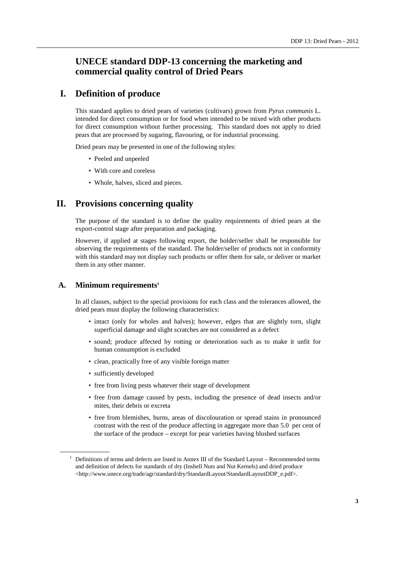# **UNECE standard DDP-13 concerning the marketing and commercial quality control of Dried Pears**

# **I. Definition of produce**

This standard applies to dried pears of varieties (cultivars) grown from *Pyrus communis* L. intended for direct consumption or for food when intended to be mixed with other products for direct consumption without further processing. This standard does not apply to dried pears that are processed by sugaring, flavouring, or for industrial processing.

Dried pears may be presented in one of the following styles:

- Peeled and unpeeled
- With core and coreless
- Whole, halves, sliced and pieces.

# **II. Provisions concerning quality**

The purpose of the standard is to define the quality requirements of dried pears at the export-control stage after preparation and packaging.

However, if applied at stages following export, the holder/seller shall be responsible for observing the requirements of the standard. The holder/seller of products not in conformity with this standard may not display such products or offer them for sale, or deliver or market them in any other manner.

## **A. Minimum requirements<sup>1</sup>**

In all classes, subject to the special provisions for each class and the tolerances allowed, the dried pears must display the following characteristics:

- intact (only for wholes and halves); however, edges that are slightly torn, slight superficial damage and slight scratches are not considered as a defect
- sound; produce affected by rotting or deterioration such as to make it unfit for human consumption is excluded
- clean, practically free of any visible foreign matter
- sufficiently developed

 $\overline{a}$ 

- free from living pests whatever their stage of development
- free from damage caused by pests, including the presence of dead insects and/or mites, their debris or excreta
- free from blemishes, burns, areas of discolouration or spread stains in pronounced contrast with the rest of the produce affecting in aggregate more than 5.0 per cent of the surface of the produce – except for pear varieties having blushed surfaces

<sup>&</sup>lt;sup>1</sup> Definitions of terms and defects are listed in Annex III of the Standard Layout – Recommended terms and definition of defects for standards of dry (Inshell Nuts and Nut Kernels) and dried produce <http://www.unece.org/trade/agr/standard/dry/StandardLayout/StandardLayoutDDP\_e.pdf>.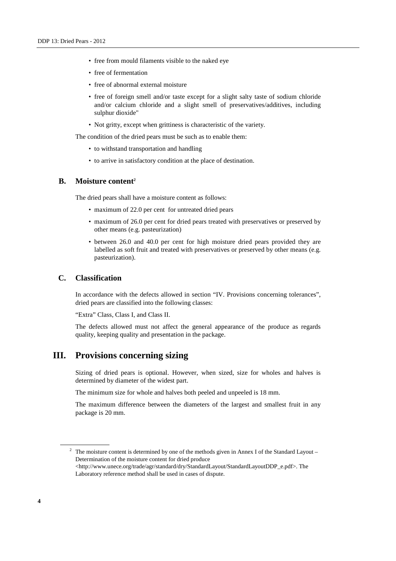- free from mould filaments visible to the naked eye
- free of fermentation
- free of abnormal external moisture
- free of foreign smell and/or taste except for a slight salty taste of sodium chloride and/or calcium chloride and a slight smell of preservatives/additives, including sulphur dioxide"
- Not gritty, except when grittiness is characteristic of the variety.

The condition of the dried pears must be such as to enable them:

- to withstand transportation and handling
- to arrive in satisfactory condition at the place of destination.

#### **B. Moisture content<sup>2</sup>**

The dried pears shall have a moisture content as follows:

- maximum of 22.0 per cent for untreated dried pears
- maximum of 26.0 per cent for dried pears treated with preservatives or preserved by other means (e.g. pasteurization)
- between 26.0 and 40.0 per cent for high moisture dried pears provided they are labelled as soft fruit and treated with preservatives or preserved by other means (e.g. pasteurization).

## **C. Classification**

In accordance with the defects allowed in section "IV. Provisions concerning tolerances", dried pears are classified into the following classes:

"Extra" Class, Class I, and Class II.

The defects allowed must not affect the general appearance of the produce as regards quality, keeping quality and presentation in the package.

## **III. Provisions concerning sizing**

Sizing of dried pears is optional. However, when sized, size for wholes and halves is determined by diameter of the widest part.

The minimum size for whole and halves both peeled and unpeeled is 18 mm.

The maximum difference between the diameters of the largest and smallest fruit in any package is 20 mm.

<sup>2</sup> The moisture content is determined by one of the methods given in Annex I of the Standard Layout – Determination of the moisture content for dried produce <http://www.unece.org/trade/agr/standard/dry/StandardLayout/StandardLayoutDDP\_e.pdf>. The

 $\overline{a}$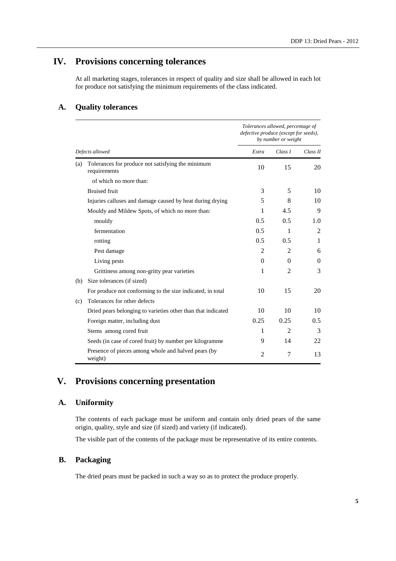# **IV. Provisions concerning tolerances**

At all marketing stages, tolerances in respect of quality and size shall be allowed in each lot for produce not satisfying the minimum requirements of the class indicated.

## **A. Quality tolerances**

|                 |                                                                   | Tolerances allowed, percentage of<br>defective produce (except for seeds),<br>by number or weight |                |                |
|-----------------|-------------------------------------------------------------------|---------------------------------------------------------------------------------------------------|----------------|----------------|
| Defects allowed |                                                                   | Extra                                                                                             | Class I        | Class II       |
| (a)             | Tolerances for produce not satisfying the minimum<br>requirements | 10                                                                                                | 15             | 20             |
|                 | of which no more than:                                            |                                                                                                   |                |                |
|                 | <b>Bruised</b> fruit                                              | 3                                                                                                 | 5              | 10             |
|                 | Injuries calluses and damage caused by heat during drying         | 5                                                                                                 | 8              | 10             |
|                 | Mouldy and Mildew Spots, of which no more than:                   | 1                                                                                                 | 4.5            | 9              |
|                 | mouldy                                                            | 0.5                                                                                               | 0.5            | 1.0            |
|                 | fermentation                                                      | 0.5                                                                                               | 1              | $\overline{2}$ |
|                 | rotting                                                           | 0.5                                                                                               | 0.5            | 1              |
|                 | Pest damage                                                       | 2                                                                                                 | $\overline{c}$ | 6              |
|                 | Living pests                                                      | $\Omega$                                                                                          | $\Omega$       | $\Omega$       |
|                 | Grittiness among non-gritty pear varieties                        | 1                                                                                                 | $\overline{c}$ | 3              |
| (b)             | Size tolerances (if sized)                                        |                                                                                                   |                |                |
|                 | For produce not conforming to the size indicated, in total        | 10                                                                                                | 15             | 20             |
| (c)             | Tolerances for other defects                                      |                                                                                                   |                |                |
|                 | Dried pears belonging to varieties other than that indicated      | 10                                                                                                | 10             | 10             |
|                 | Foreign matter, including dust                                    | 0.25                                                                                              | 0.25           | 0.5            |
|                 | Stems among cored fruit                                           | 1                                                                                                 | $\mathfrak{D}$ | 3              |
|                 | Seeds (in case of cored fruit) by number per kilogramme           | 9                                                                                                 | 14             | 22             |
|                 | Presence of pieces among whole and halved pears (by<br>weight)    | 2                                                                                                 | 7              | 13             |

# **V. Provisions concerning presentation**

## **A. Uniformity**

The contents of each package must be uniform and contain only dried pears of the same origin, quality, style and size (if sized) and variety (if indicated).

The visible part of the contents of the package must be representative of its entire contents.

## **B. Packaging**

The dried pears must be packed in such a way so as to protect the produce properly.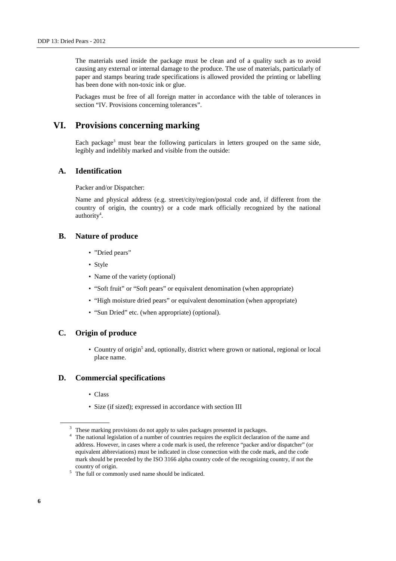The materials used inside the package must be clean and of a quality such as to avoid causing any external or internal damage to the produce. The use of materials, particularly of paper and stamps bearing trade specifications is allowed provided the printing or labelling has been done with non-toxic ink or glue.

Packages must be free of all foreign matter in accordance with the table of tolerances in section "IV. Provisions concerning tolerances".

## **VI. Provisions concerning marking**

Each package<sup>3</sup> must bear the following particulars in letters grouped on the same side, legibly and indelibly marked and visible from the outside:

## **A. Identification**

Packer and/or Dispatcher:

Name and physical address (e.g. street/city/region/postal code and, if different from the country of origin, the country) or a code mark officially recognized by the national authority<sup>4</sup>.

### **B. Nature of produce**

- "Dried pears"
- Style
- Name of the variety (optional)
- "Soft fruit" or "Soft pears" or equivalent denomination (when appropriate)
- "High moisture dried pears" or equivalent denomination (when appropriate)
- "Sun Dried" etc. (when appropriate) (optional).

## **C. Origin of produce**

• Country of origin<sup>5</sup> and, optionally, district where grown or national, regional or local place name.

#### **D. Commercial specifications**

- Class
- Size (if sized); expressed in accordance with section III

 $\overline{a}$ 

<sup>&</sup>lt;sup>3</sup> These marking provisions do not apply to sales packages presented in packages.

<sup>&</sup>lt;sup>4</sup> The national legislation of a number of countries requires the explicit declaration of the name and address. However, in cases where a code mark is used, the reference "packer and/or dispatcher" (or equivalent abbreviations) must be indicated in close connection with the code mark, and the code mark should be preceded by the ISO 3166 alpha country code of the recognizing country, if not the country of origin.

 $5$  The full or commonly used name should be indicated.